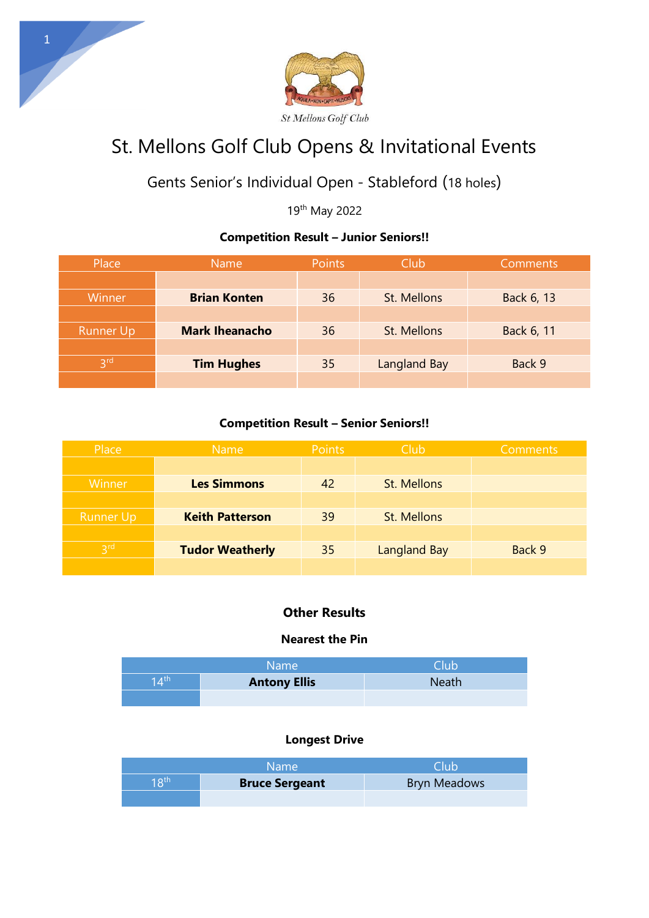



# St. Mellons Golf Club Opens & Invitational Events

# Gents Senior's Individual Open - Stableford (18 holes)

19th May 2022

# **Competition Result – Junior Seniors!!**

| Place            | <b>Name</b>           | <b>Points</b> | Club         | <b>Comments</b> |
|------------------|-----------------------|---------------|--------------|-----------------|
|                  |                       |               |              |                 |
| <b>Winner</b>    | <b>Brian Konten</b>   | 36            | St. Mellons  | Back 6, 13      |
|                  |                       |               |              |                 |
| <b>Runner Up</b> | <b>Mark Iheanacho</b> | 36            | St. Mellons  | Back 6, 11      |
|                  |                       |               |              |                 |
| 3 <sup>rd</sup>  | <b>Tim Hughes</b>     | 35            | Langland Bay | Back 9          |
|                  |                       |               |              |                 |

#### **Competition Result – Senior Seniors!!**

| Place            | <b>Name</b>            | <b>Points</b> | Club                | <b>Comments</b> |
|------------------|------------------------|---------------|---------------------|-----------------|
|                  |                        |               |                     |                 |
| Winner           | <b>Les Simmons</b>     | 42            | St. Mellons         |                 |
|                  |                        |               |                     |                 |
| <b>Runner Up</b> | <b>Keith Patterson</b> | 39            | St. Mellons         |                 |
|                  |                        |               |                     |                 |
| 2rd              | <b>Tudor Weatherly</b> | 35            | <b>Langland Bay</b> | Back 9          |
|                  |                        |               |                     |                 |

#### **Other Results**

#### **Nearest the Pin**

|                  | Name:               | Club         |
|------------------|---------------------|--------------|
| 14 <sup>th</sup> | <b>Antony Ellis</b> | <b>Neath</b> |
|                  |                     |              |

### **Longest Drive**

|                  | Name                  | <b>Club</b>         |
|------------------|-----------------------|---------------------|
| $18^{\text{th}}$ | <b>Bruce Sergeant</b> | <b>Bryn Meadows</b> |
|                  |                       |                     |